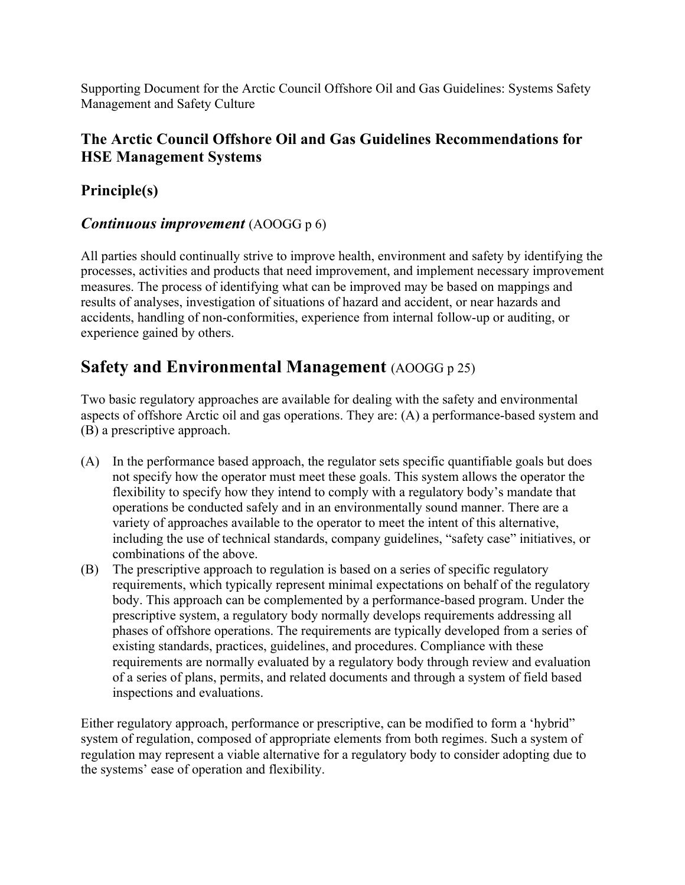Supporting Document for the Arctic Council Offshore Oil and Gas Guidelines: Systems Safety Management and Safety Culture

## **The Arctic Council Offshore Oil and Gas Guidelines Recommendations for HSE Management Systems**

# **Principle(s)**

## *Continuous improvement* (AOOGG p 6)

All parties should continually strive to improve health, environment and safety by identifying the processes, activities and products that need improvement, and implement necessary improvement measures. The process of identifying what can be improved may be based on mappings and results of analyses, investigation of situations of hazard and accident, or near hazards and accidents, handling of non-conformities, experience from internal follow-up or auditing, or experience gained by others.

# **Safety and Environmental Management** (AOOGG p 25)

Two basic regulatory approaches are available for dealing with the safety and environmental aspects of offshore Arctic oil and gas operations. They are: (A) a performance-based system and (B) a prescriptive approach.

- (A) In the performance based approach, the regulator sets specific quantifiable goals but does not specify how the operator must meet these goals. This system allows the operator the flexibility to specify how they intend to comply with a regulatory body's mandate that operations be conducted safely and in an environmentally sound manner. There are a variety of approaches available to the operator to meet the intent of this alternative, including the use of technical standards, company guidelines, "safety case" initiatives, or combinations of the above.
- (B) The prescriptive approach to regulation is based on a series of specific regulatory requirements, which typically represent minimal expectations on behalf of the regulatory body. This approach can be complemented by a performance-based program. Under the prescriptive system, a regulatory body normally develops requirements addressing all phases of offshore operations. The requirements are typically developed from a series of existing standards, practices, guidelines, and procedures. Compliance with these requirements are normally evaluated by a regulatory body through review and evaluation of a series of plans, permits, and related documents and through a system of field based inspections and evaluations.

Either regulatory approach, performance or prescriptive, can be modified to form a 'hybrid" system of regulation, composed of appropriate elements from both regimes. Such a system of regulation may represent a viable alternative for a regulatory body to consider adopting due to the systems' ease of operation and flexibility.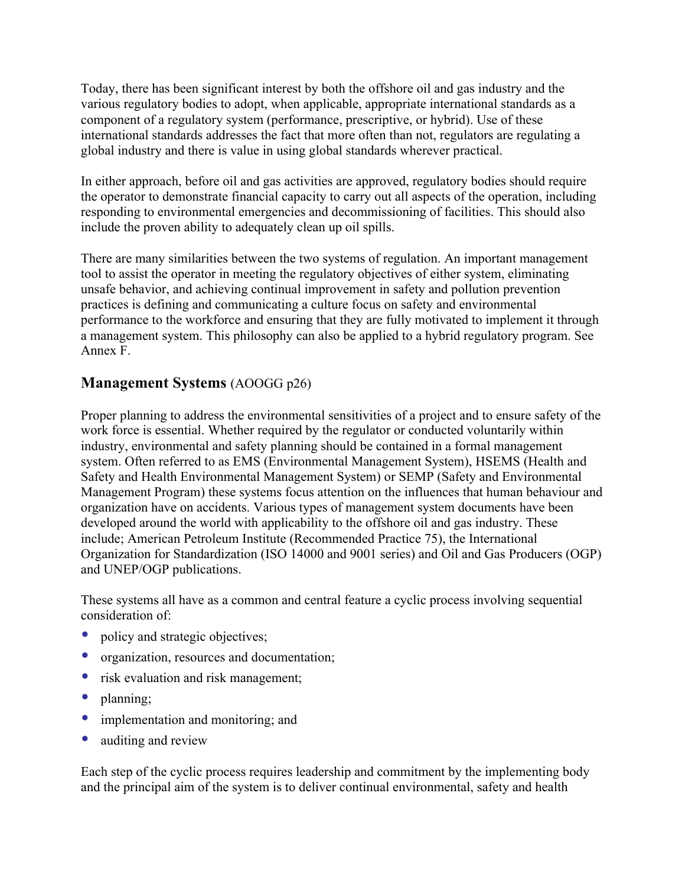Today, there has been significant interest by both the offshore oil and gas industry and the various regulatory bodies to adopt, when applicable, appropriate international standards as a component of a regulatory system (performance, prescriptive, or hybrid). Use of these international standards addresses the fact that more often than not, regulators are regulating a global industry and there is value in using global standards wherever practical.

In either approach, before oil and gas activities are approved, regulatory bodies should require the operator to demonstrate financial capacity to carry out all aspects of the operation, including responding to environmental emergencies and decommissioning of facilities. This should also include the proven ability to adequately clean up oil spills.

There are many similarities between the two systems of regulation. An important management tool to assist the operator in meeting the regulatory objectives of either system, eliminating unsafe behavior, and achieving continual improvement in safety and pollution prevention practices is defining and communicating a culture focus on safety and environmental performance to the workforce and ensuring that they are fully motivated to implement it through a management system. This philosophy can also be applied to a hybrid regulatory program. See Annex F.

## **Management Systems** (AOOGG p26)

Proper planning to address the environmental sensitivities of a project and to ensure safety of the work force is essential. Whether required by the regulator or conducted voluntarily within industry, environmental and safety planning should be contained in a formal management system. Often referred to as EMS (Environmental Management System), HSEMS (Health and Safety and Health Environmental Management System) or SEMP (Safety and Environmental Management Program) these systems focus attention on the influences that human behaviour and organization have on accidents. Various types of management system documents have been developed around the world with applicability to the offshore oil and gas industry. These include; American Petroleum Institute (Recommended Practice 75), the International Organization for Standardization (ISO 14000 and 9001 series) and Oil and Gas Producers (OGP) and UNEP/OGP publications.

These systems all have as a common and central feature a cyclic process involving sequential consideration of:

- policy and strategic objectives;
- organization, resources and documentation;
- risk evaluation and risk management;
- planning;
- implementation and monitoring; and
- auditing and review

Each step of the cyclic process requires leadership and commitment by the implementing body and the principal aim of the system is to deliver continual environmental, safety and health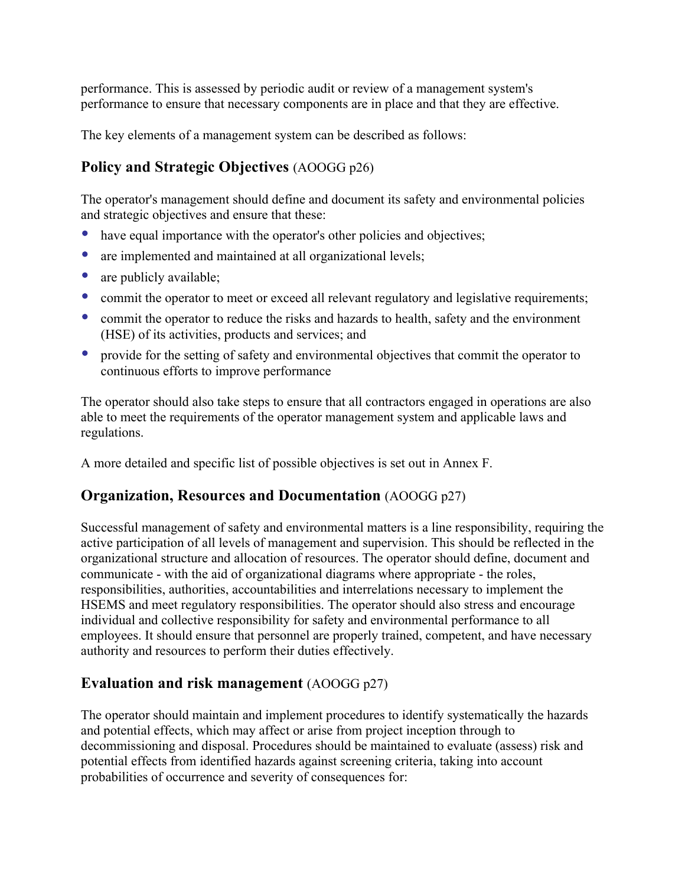performance. This is assessed by periodic audit or review of a management system's performance to ensure that necessary components are in place and that they are effective.

The key elements of a management system can be described as follows:

## **Policy and Strategic Objectives** (AOOGG p26)

The operator's management should define and document its safety and environmental policies and strategic objectives and ensure that these:

- have equal importance with the operator's other policies and objectives;
- are implemented and maintained at all organizational levels;
- are publicly available;
- commit the operator to meet or exceed all relevant regulatory and legislative requirements;
- commit the operator to reduce the risks and hazards to health, safety and the environment (HSE) of its activities, products and services; and
- provide for the setting of safety and environmental objectives that commit the operator to continuous efforts to improve performance

The operator should also take steps to ensure that all contractors engaged in operations are also able to meet the requirements of the operator management system and applicable laws and regulations.

A more detailed and specific list of possible objectives is set out in Annex F.

## **Organization, Resources and Documentation** (AOOGG p27)

Successful management of safety and environmental matters is a line responsibility, requiring the active participation of all levels of management and supervision. This should be reflected in the organizational structure and allocation of resources. The operator should define, document and communicate - with the aid of organizational diagrams where appropriate - the roles, responsibilities, authorities, accountabilities and interrelations necessary to implement the HSEMS and meet regulatory responsibilities. The operator should also stress and encourage individual and collective responsibility for safety and environmental performance to all employees. It should ensure that personnel are properly trained, competent, and have necessary authority and resources to perform their duties effectively.

## **Evaluation and risk management** (AOOGG p27)

The operator should maintain and implement procedures to identify systematically the hazards and potential effects, which may affect or arise from project inception through to decommissioning and disposal. Procedures should be maintained to evaluate (assess) risk and potential effects from identified hazards against screening criteria, taking into account probabilities of occurrence and severity of consequences for: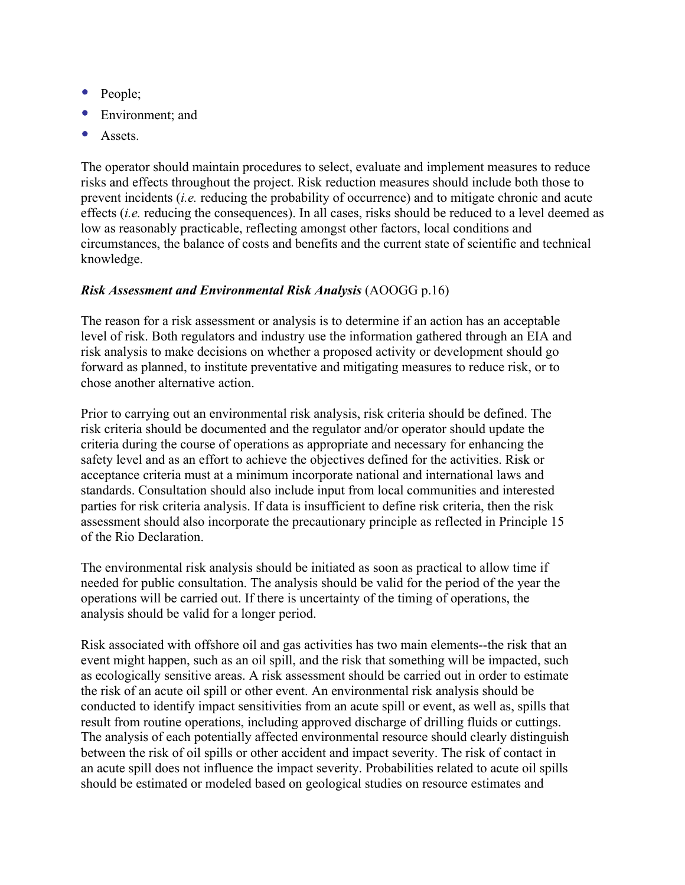- People;
- Environment; and
- Assets.

The operator should maintain procedures to select, evaluate and implement measures to reduce risks and effects throughout the project. Risk reduction measures should include both those to prevent incidents (*i.e.* reducing the probability of occurrence) and to mitigate chronic and acute effects (*i.e.* reducing the consequences). In all cases, risks should be reduced to a level deemed as low as reasonably practicable, reflecting amongst other factors, local conditions and circumstances, the balance of costs and benefits and the current state of scientific and technical knowledge.

### *Risk Assessment and Environmental Risk Analysis* (AOOGG p.16)

The reason for a risk assessment or analysis is to determine if an action has an acceptable level of risk. Both regulators and industry use the information gathered through an EIA and risk analysis to make decisions on whether a proposed activity or development should go forward as planned, to institute preventative and mitigating measures to reduce risk, or to chose another alternative action.

Prior to carrying out an environmental risk analysis, risk criteria should be defined. The risk criteria should be documented and the regulator and/or operator should update the criteria during the course of operations as appropriate and necessary for enhancing the safety level and as an effort to achieve the objectives defined for the activities. Risk or acceptance criteria must at a minimum incorporate national and international laws and standards. Consultation should also include input from local communities and interested parties for risk criteria analysis. If data is insufficient to define risk criteria, then the risk assessment should also incorporate the precautionary principle as reflected in Principle 15 of the Rio Declaration.

The environmental risk analysis should be initiated as soon as practical to allow time if needed for public consultation. The analysis should be valid for the period of the year the operations will be carried out. If there is uncertainty of the timing of operations, the analysis should be valid for a longer period.

Risk associated with offshore oil and gas activities has two main elements--the risk that an event might happen, such as an oil spill, and the risk that something will be impacted, such as ecologically sensitive areas. A risk assessment should be carried out in order to estimate the risk of an acute oil spill or other event. An environmental risk analysis should be conducted to identify impact sensitivities from an acute spill or event, as well as, spills that result from routine operations, including approved discharge of drilling fluids or cuttings. The analysis of each potentially affected environmental resource should clearly distinguish between the risk of oil spills or other accident and impact severity. The risk of contact in an acute spill does not influence the impact severity. Probabilities related to acute oil spills should be estimated or modeled based on geological studies on resource estimates and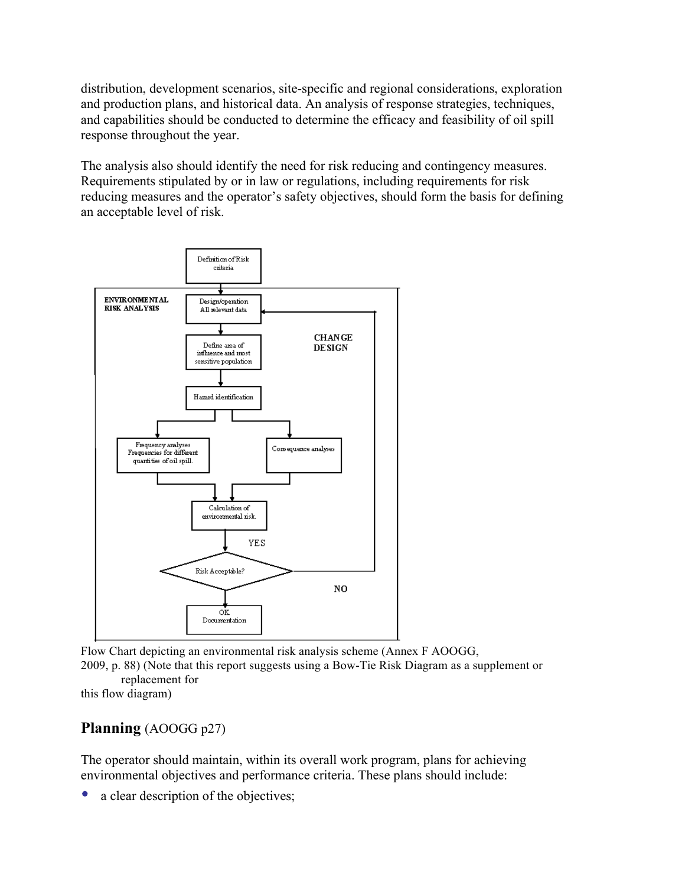distribution, development scenarios, site-specific and regional considerations, exploration and production plans, and historical data. An analysis of response strategies, techniques, and capabilities should be conducted to determine the efficacy and feasibility of oil spill response throughout the year.

The analysis also should identify the need for risk reducing and contingency measures. Requirements stipulated by or in law or regulations, including requirements for risk reducing measures and the operator's safety objectives, should form the basis for defining an acceptable level of risk.



Flow Chart depicting an environmental risk analysis scheme (Annex F AOOGG,

2009, p. 88) (Note that this report suggests using a Bow-Tie Risk Diagram as a supplement or replacement for

this flow diagram)

## **Planning** (AOOGG p27)

The operator should maintain, within its overall work program, plans for achieving environmental objectives and performance criteria. These plans should include:

a clear description of the objectives;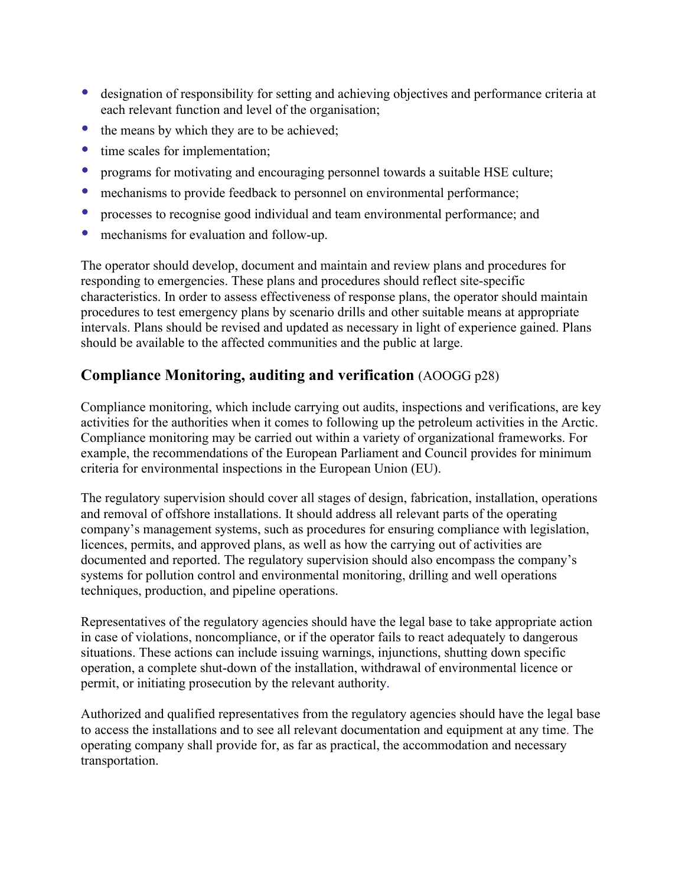- designation of responsibility for setting and achieving objectives and performance criteria at each relevant function and level of the organisation;
- the means by which they are to be achieved;
- time scales for implementation;
- programs for motivating and encouraging personnel towards a suitable HSE culture;
- mechanisms to provide feedback to personnel on environmental performance;
- processes to recognise good individual and team environmental performance; and
- mechanisms for evaluation and follow-up.

The operator should develop, document and maintain and review plans and procedures for responding to emergencies. These plans and procedures should reflect site-specific characteristics. In order to assess effectiveness of response plans, the operator should maintain procedures to test emergency plans by scenario drills and other suitable means at appropriate intervals. Plans should be revised and updated as necessary in light of experience gained. Plans should be available to the affected communities and the public at large.

## **Compliance Monitoring, auditing and verification** (AOOGG p28)

Compliance monitoring, which include carrying out audits, inspections and verifications, are key activities for the authorities when it comes to following up the petroleum activities in the Arctic. Compliance monitoring may be carried out within a variety of organizational frameworks. For example, the recommendations of the European Parliament and Council provides for minimum criteria for environmental inspections in the European Union (EU).

The regulatory supervision should cover all stages of design, fabrication, installation, operations and removal of offshore installations. It should address all relevant parts of the operating company's management systems, such as procedures for ensuring compliance with legislation, licences, permits, and approved plans, as well as how the carrying out of activities are documented and reported. The regulatory supervision should also encompass the company's systems for pollution control and environmental monitoring, drilling and well operations techniques, production, and pipeline operations.

Representatives of the regulatory agencies should have the legal base to take appropriate action in case of violations, noncompliance, or if the operator fails to react adequately to dangerous situations. These actions can include issuing warnings, injunctions, shutting down specific operation, a complete shut-down of the installation, withdrawal of environmental licence or permit, or initiating prosecution by the relevant authority.

Authorized and qualified representatives from the regulatory agencies should have the legal base to access the installations and to see all relevant documentation and equipment at any time. The operating company shall provide for, as far as practical, the accommodation and necessary transportation.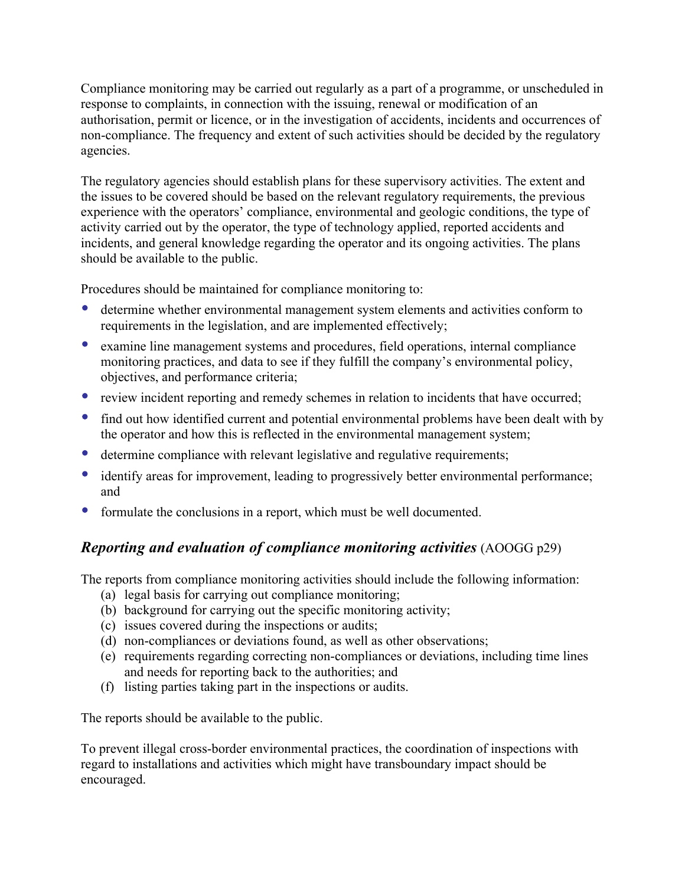Compliance monitoring may be carried out regularly as a part of a programme, or unscheduled in response to complaints, in connection with the issuing, renewal or modification of an authorisation, permit or licence, or in the investigation of accidents, incidents and occurrences of non-compliance. The frequency and extent of such activities should be decided by the regulatory agencies.

The regulatory agencies should establish plans for these supervisory activities. The extent and the issues to be covered should be based on the relevant regulatory requirements, the previous experience with the operators' compliance, environmental and geologic conditions, the type of activity carried out by the operator, the type of technology applied, reported accidents and incidents, and general knowledge regarding the operator and its ongoing activities. The plans should be available to the public.

Procedures should be maintained for compliance monitoring to:

- determine whether environmental management system elements and activities conform to requirements in the legislation, and are implemented effectively;
- examine line management systems and procedures, field operations, internal compliance monitoring practices, and data to see if they fulfill the company's environmental policy, objectives, and performance criteria;
- review incident reporting and remedy schemes in relation to incidents that have occurred;
- find out how identified current and potential environmental problems have been dealt with by the operator and how this is reflected in the environmental management system;
- determine compliance with relevant legislative and regulative requirements;
- identify areas for improvement, leading to progressively better environmental performance; and
- formulate the conclusions in a report, which must be well documented.

# *Reporting and evaluation of compliance monitoring activities* (AOOGG p29)

The reports from compliance monitoring activities should include the following information:

- (a) legal basis for carrying out compliance monitoring;
- (b) background for carrying out the specific monitoring activity;
- (c) issues covered during the inspections or audits;
- (d) non-compliances or deviations found, as well as other observations;
- (e) requirements regarding correcting non-compliances or deviations, including time lines and needs for reporting back to the authorities; and
- (f) listing parties taking part in the inspections or audits.

The reports should be available to the public.

To prevent illegal cross-border environmental practices, the coordination of inspections with regard to installations and activities which might have transboundary impact should be encouraged.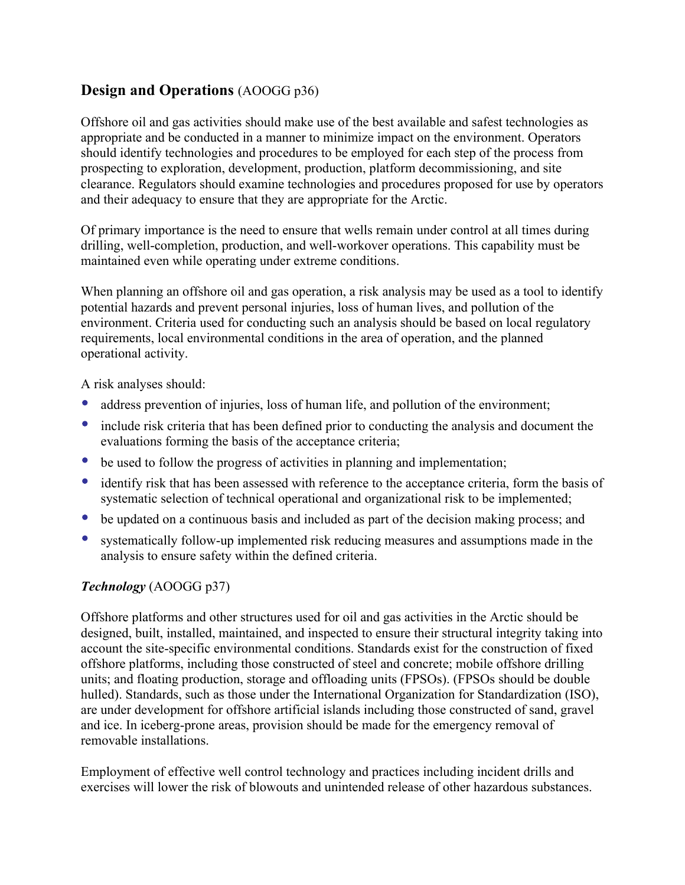# **Design and Operations** (AOOGG p36)

Offshore oil and gas activities should make use of the best available and safest technologies as appropriate and be conducted in a manner to minimize impact on the environment. Operators should identify technologies and procedures to be employed for each step of the process from prospecting to exploration, development, production, platform decommissioning, and site clearance. Regulators should examine technologies and procedures proposed for use by operators and their adequacy to ensure that they are appropriate for the Arctic.

Of primary importance is the need to ensure that wells remain under control at all times during drilling, well-completion, production, and well-workover operations. This capability must be maintained even while operating under extreme conditions.

When planning an offshore oil and gas operation, a risk analysis may be used as a tool to identify potential hazards and prevent personal injuries, loss of human lives, and pollution of the environment. Criteria used for conducting such an analysis should be based on local regulatory requirements, local environmental conditions in the area of operation, and the planned operational activity.

A risk analyses should:

- address prevention of injuries, loss of human life, and pollution of the environment;
- include risk criteria that has been defined prior to conducting the analysis and document the evaluations forming the basis of the acceptance criteria;
- be used to follow the progress of activities in planning and implementation;
- identify risk that has been assessed with reference to the acceptance criteria, form the basis of systematic selection of technical operational and organizational risk to be implemented;
- be updated on a continuous basis and included as part of the decision making process; and
- systematically follow-up implemented risk reducing measures and assumptions made in the analysis to ensure safety within the defined criteria.

### *Technology* (AOOGG p37)

Offshore platforms and other structures used for oil and gas activities in the Arctic should be designed, built, installed, maintained, and inspected to ensure their structural integrity taking into account the site-specific environmental conditions. Standards exist for the construction of fixed offshore platforms, including those constructed of steel and concrete; mobile offshore drilling units; and floating production, storage and offloading units (FPSOs). (FPSOs should be double hulled). Standards, such as those under the International Organization for Standardization (ISO), are under development for offshore artificial islands including those constructed of sand, gravel and ice. In iceberg-prone areas, provision should be made for the emergency removal of removable installations.

Employment of effective well control technology and practices including incident drills and exercises will lower the risk of blowouts and unintended release of other hazardous substances.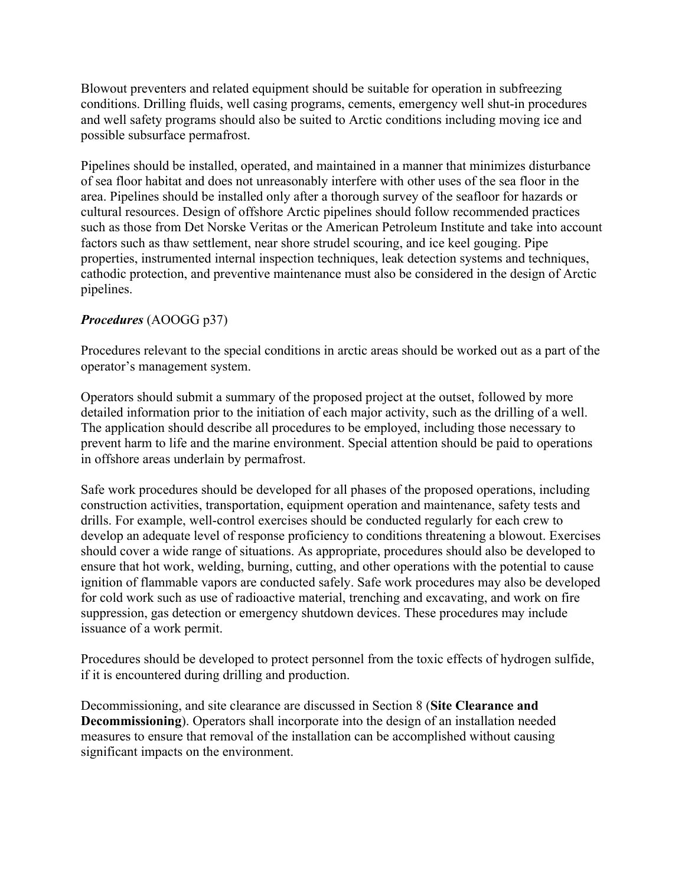Blowout preventers and related equipment should be suitable for operation in subfreezing conditions. Drilling fluids, well casing programs, cements, emergency well shut-in procedures and well safety programs should also be suited to Arctic conditions including moving ice and possible subsurface permafrost.

Pipelines should be installed, operated, and maintained in a manner that minimizes disturbance of sea floor habitat and does not unreasonably interfere with other uses of the sea floor in the area. Pipelines should be installed only after a thorough survey of the seafloor for hazards or cultural resources. Design of offshore Arctic pipelines should follow recommended practices such as those from Det Norske Veritas or the American Petroleum Institute and take into account factors such as thaw settlement, near shore strudel scouring, and ice keel gouging. Pipe properties, instrumented internal inspection techniques, leak detection systems and techniques, cathodic protection, and preventive maintenance must also be considered in the design of Arctic pipelines.

### *Procedures* (AOOGG p37)

Procedures relevant to the special conditions in arctic areas should be worked out as a part of the operator's management system.

Operators should submit a summary of the proposed project at the outset, followed by more detailed information prior to the initiation of each major activity, such as the drilling of a well. The application should describe all procedures to be employed, including those necessary to prevent harm to life and the marine environment. Special attention should be paid to operations in offshore areas underlain by permafrost.

Safe work procedures should be developed for all phases of the proposed operations, including construction activities, transportation, equipment operation and maintenance, safety tests and drills. For example, well-control exercises should be conducted regularly for each crew to develop an adequate level of response proficiency to conditions threatening a blowout. Exercises should cover a wide range of situations. As appropriate, procedures should also be developed to ensure that hot work, welding, burning, cutting, and other operations with the potential to cause ignition of flammable vapors are conducted safely. Safe work procedures may also be developed for cold work such as use of radioactive material, trenching and excavating, and work on fire suppression, gas detection or emergency shutdown devices. These procedures may include issuance of a work permit.

Procedures should be developed to protect personnel from the toxic effects of hydrogen sulfide, if it is encountered during drilling and production.

Decommissioning, and site clearance are discussed in Section 8 (**Site Clearance and Decommissioning**). Operators shall incorporate into the design of an installation needed measures to ensure that removal of the installation can be accomplished without causing significant impacts on the environment.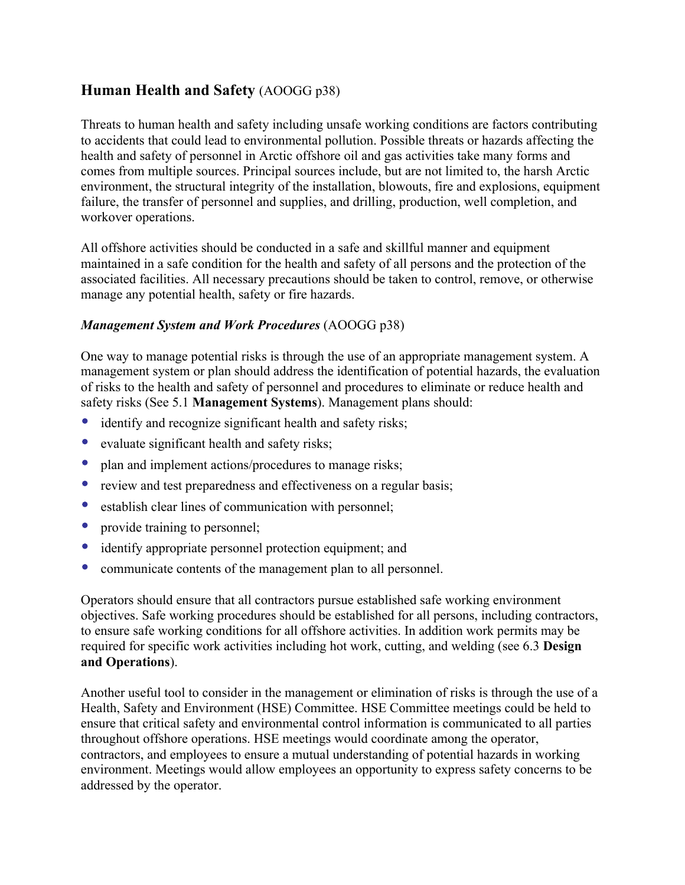## **Human Health and Safety** (AOOGG p38)

Threats to human health and safety including unsafe working conditions are factors contributing to accidents that could lead to environmental pollution. Possible threats or hazards affecting the health and safety of personnel in Arctic offshore oil and gas activities take many forms and comes from multiple sources. Principal sources include, but are not limited to, the harsh Arctic environment, the structural integrity of the installation, blowouts, fire and explosions, equipment failure, the transfer of personnel and supplies, and drilling, production, well completion, and workover operations.

All offshore activities should be conducted in a safe and skillful manner and equipment maintained in a safe condition for the health and safety of all persons and the protection of the associated facilities. All necessary precautions should be taken to control, remove, or otherwise manage any potential health, safety or fire hazards.

### *Management System and Work Procedures* (AOOGG p38)

One way to manage potential risks is through the use of an appropriate management system. A management system or plan should address the identification of potential hazards, the evaluation of risks to the health and safety of personnel and procedures to eliminate or reduce health and safety risks (See 5.1 **Management Systems**). Management plans should:

- identify and recognize significant health and safety risks;
- evaluate significant health and safety risks;
- plan and implement actions/procedures to manage risks;
- review and test preparedness and effectiveness on a regular basis;
- establish clear lines of communication with personnel;
- provide training to personnel;
- identify appropriate personnel protection equipment; and
- communicate contents of the management plan to all personnel.

Operators should ensure that all contractors pursue established safe working environment objectives. Safe working procedures should be established for all persons, including contractors, to ensure safe working conditions for all offshore activities. In addition work permits may be required for specific work activities including hot work, cutting, and welding (see 6.3 **Design and Operations**).

Another useful tool to consider in the management or elimination of risks is through the use of a Health, Safety and Environment (HSE) Committee. HSE Committee meetings could be held to ensure that critical safety and environmental control information is communicated to all parties throughout offshore operations. HSE meetings would coordinate among the operator, contractors, and employees to ensure a mutual understanding of potential hazards in working environment. Meetings would allow employees an opportunity to express safety concerns to be addressed by the operator.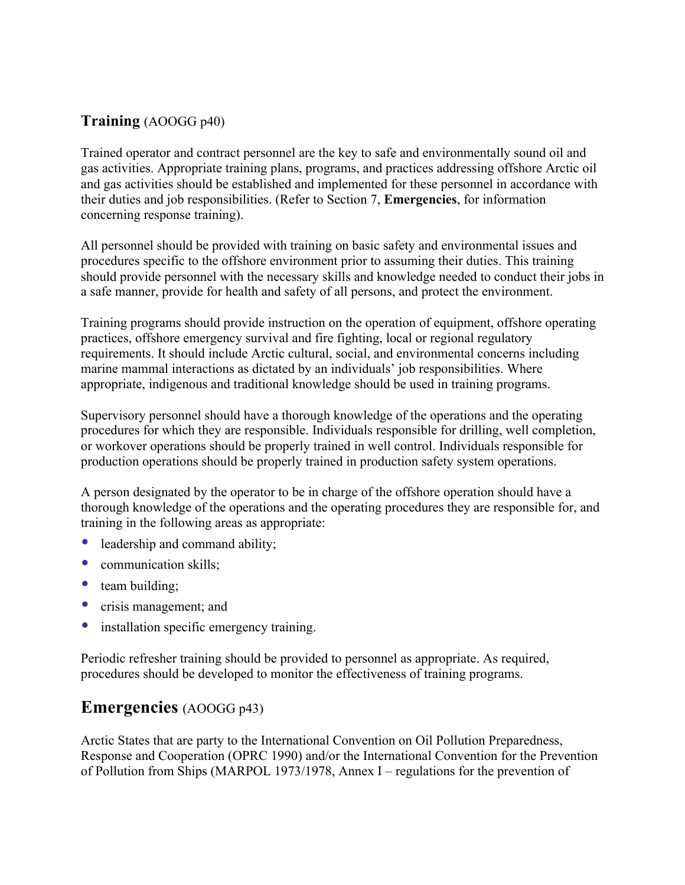## **Training** (AOOGG p40)

Trained operator and contract personnel are the key to safe and environmentally sound oil and gas activities. Appropriate training plans, programs, and practices addressing offshore Arctic oil and gas activities should be established and implemented for these personnel in accordance with their duties and job responsibilities. (Refer to Section 7, **Emergencies**, for information concerning response training).

All personnel should be provided with training on basic safety and environmental issues and procedures specific to the offshore environment prior to assuming their duties. This training should provide personnel with the necessary skills and knowledge needed to conduct their jobs in a safe manner, provide for health and safety of all persons, and protect the environment.

Training programs should provide instruction on the operation of equipment, offshore operating practices, offshore emergency survival and fire fighting, local or regional regulatory requirements. It should include Arctic cultural, social, and environmental concerns including marine mammal interactions as dictated by an individuals' job responsibilities. Where appropriate, indigenous and traditional knowledge should be used in training programs.

Supervisory personnel should have a thorough knowledge of the operations and the operating procedures for which they are responsible. Individuals responsible for drilling, well completion, or workover operations should be properly trained in well control. Individuals responsible for production operations should be properly trained in production safety system operations.

A person designated by the operator to be in charge of the offshore operation should have a thorough knowledge of the operations and the operating procedures they are responsible for, and training in the following areas as appropriate:

- leadership and command ability;
- communication skills;
- team building;
- crisis management; and
- installation specific emergency training.

Periodic refresher training should be provided to personnel as appropriate. As required, procedures should be developed to monitor the effectiveness of training programs.

# **Emergencies** (AOOGG p43)

Arctic States that are party to the International Convention on Oil Pollution Preparedness, Response and Cooperation (OPRC 1990) and/or the International Convention for the Prevention of Pollution from Ships (MARPOL 1973/1978, Annex I – regulations for the prevention of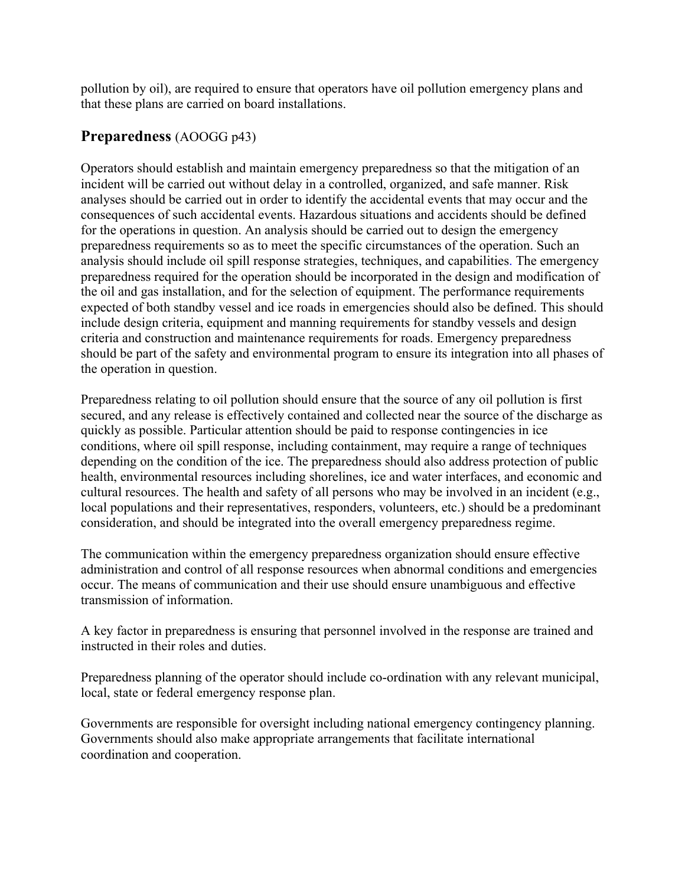pollution by oil), are required to ensure that operators have oil pollution emergency plans and that these plans are carried on board installations.

## **Preparedness** (AOOGG p43)

Operators should establish and maintain emergency preparedness so that the mitigation of an incident will be carried out without delay in a controlled, organized, and safe manner. Risk analyses should be carried out in order to identify the accidental events that may occur and the consequences of such accidental events. Hazardous situations and accidents should be defined for the operations in question. An analysis should be carried out to design the emergency preparedness requirements so as to meet the specific circumstances of the operation. Such an analysis should include oil spill response strategies, techniques, and capabilities. The emergency preparedness required for the operation should be incorporated in the design and modification of the oil and gas installation, and for the selection of equipment. The performance requirements expected of both standby vessel and ice roads in emergencies should also be defined. This should include design criteria, equipment and manning requirements for standby vessels and design criteria and construction and maintenance requirements for roads. Emergency preparedness should be part of the safety and environmental program to ensure its integration into all phases of the operation in question.

Preparedness relating to oil pollution should ensure that the source of any oil pollution is first secured, and any release is effectively contained and collected near the source of the discharge as quickly as possible. Particular attention should be paid to response contingencies in ice conditions, where oil spill response, including containment, may require a range of techniques depending on the condition of the ice. The preparedness should also address protection of public health, environmental resources including shorelines, ice and water interfaces, and economic and cultural resources. The health and safety of all persons who may be involved in an incident (e.g., local populations and their representatives, responders, volunteers, etc.) should be a predominant consideration, and should be integrated into the overall emergency preparedness regime.

The communication within the emergency preparedness organization should ensure effective administration and control of all response resources when abnormal conditions and emergencies occur. The means of communication and their use should ensure unambiguous and effective transmission of information.

A key factor in preparedness is ensuring that personnel involved in the response are trained and instructed in their roles and duties.

Preparedness planning of the operator should include co-ordination with any relevant municipal, local, state or federal emergency response plan.

Governments are responsible for oversight including national emergency contingency planning. Governments should also make appropriate arrangements that facilitate international coordination and cooperation.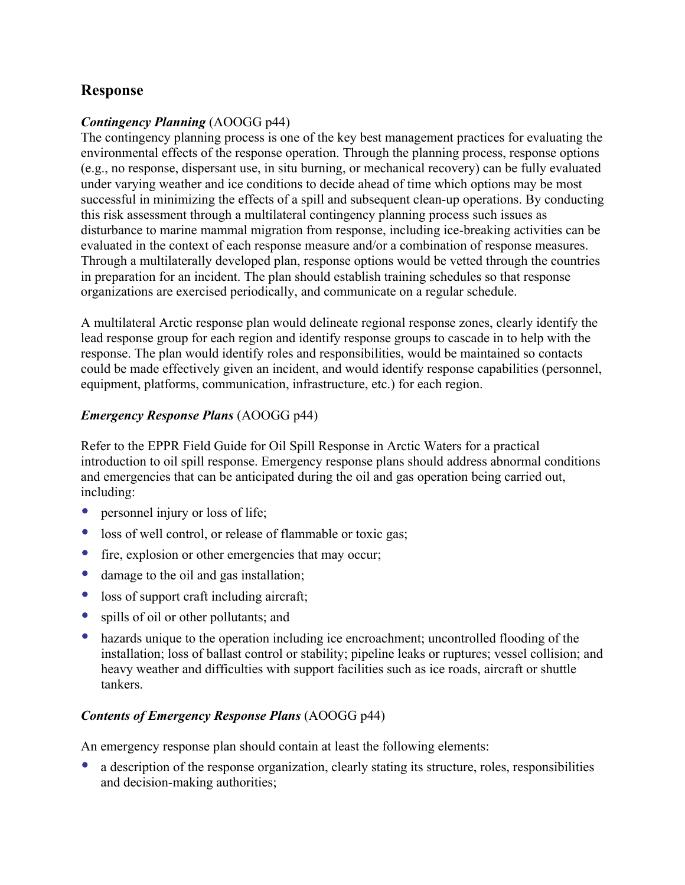# **Response**

#### *Contingency Planning* (AOOGG p44)

The contingency planning process is one of the key best management practices for evaluating the environmental effects of the response operation. Through the planning process, response options (e.g., no response, dispersant use, in situ burning, or mechanical recovery) can be fully evaluated under varying weather and ice conditions to decide ahead of time which options may be most successful in minimizing the effects of a spill and subsequent clean-up operations. By conducting this risk assessment through a multilateral contingency planning process such issues as disturbance to marine mammal migration from response, including ice-breaking activities can be evaluated in the context of each response measure and/or a combination of response measures. Through a multilaterally developed plan, response options would be vetted through the countries in preparation for an incident. The plan should establish training schedules so that response organizations are exercised periodically, and communicate on a regular schedule.

A multilateral Arctic response plan would delineate regional response zones, clearly identify the lead response group for each region and identify response groups to cascade in to help with the response. The plan would identify roles and responsibilities, would be maintained so contacts could be made effectively given an incident, and would identify response capabilities (personnel, equipment, platforms, communication, infrastructure, etc.) for each region.

### *Emergency Response Plans (AOOGG p44)*

Refer to the EPPR Field Guide for Oil Spill Response in Arctic Waters for a practical introduction to oil spill response. Emergency response plans should address abnormal conditions and emergencies that can be anticipated during the oil and gas operation being carried out, including:

- personnel injury or loss of life;
- loss of well control, or release of flammable or toxic gas;
- fire, explosion or other emergencies that may occur;
- damage to the oil and gas installation;
- loss of support craft including aircraft;
- spills of oil or other pollutants; and
- hazards unique to the operation including ice encroachment; uncontrolled flooding of the installation; loss of ballast control or stability; pipeline leaks or ruptures; vessel collision; and heavy weather and difficulties with support facilities such as ice roads, aircraft or shuttle tankers.

#### *Contents of Emergency Response Plans* (AOOGG p44)

An emergency response plan should contain at least the following elements:

• a description of the response organization, clearly stating its structure, roles, responsibilities and decision-making authorities;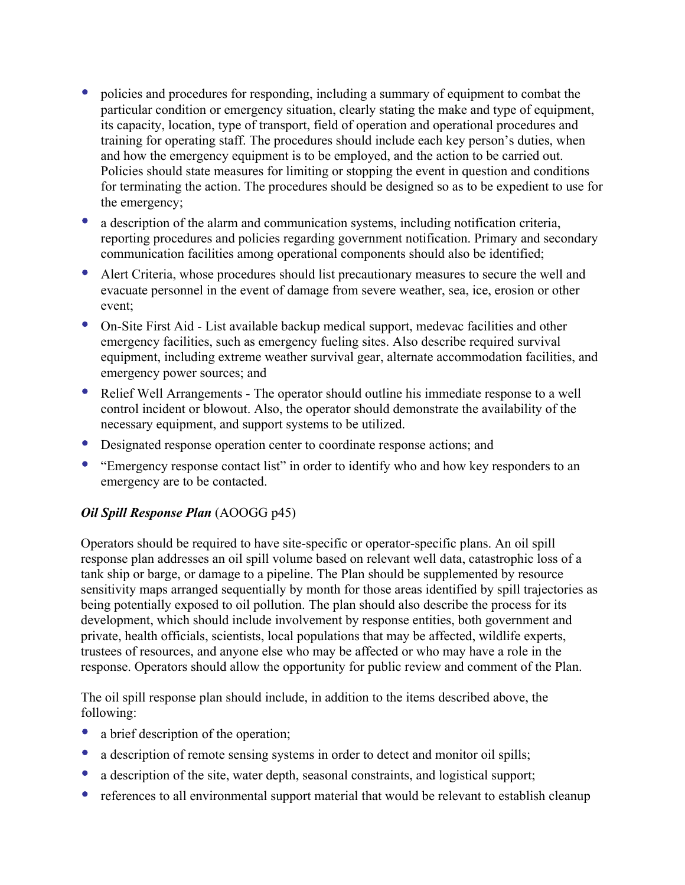- policies and procedures for responding, including a summary of equipment to combat the particular condition or emergency situation, clearly stating the make and type of equipment, its capacity, location, type of transport, field of operation and operational procedures and training for operating staff. The procedures should include each key person's duties, when and how the emergency equipment is to be employed, and the action to be carried out. Policies should state measures for limiting or stopping the event in question and conditions for terminating the action. The procedures should be designed so as to be expedient to use for the emergency;
- a description of the alarm and communication systems, including notification criteria, reporting procedures and policies regarding government notification. Primary and secondary communication facilities among operational components should also be identified;
- Alert Criteria, whose procedures should list precautionary measures to secure the well and evacuate personnel in the event of damage from severe weather, sea, ice, erosion or other event;
- On-Site First Aid List available backup medical support, medevac facilities and other emergency facilities, such as emergency fueling sites. Also describe required survival equipment, including extreme weather survival gear, alternate accommodation facilities, and emergency power sources; and
- Relief Well Arrangements The operator should outline his immediate response to a well control incident or blowout. Also, the operator should demonstrate the availability of the necessary equipment, and support systems to be utilized.
- Designated response operation center to coordinate response actions; and
- "Emergency response contact list" in order to identify who and how key responders to an emergency are to be contacted.

### *Oil Spill Response Plan* (AOOGG p45)

Operators should be required to have site-specific or operator-specific plans. An oil spill response plan addresses an oil spill volume based on relevant well data, catastrophic loss of a tank ship or barge, or damage to a pipeline. The Plan should be supplemented by resource sensitivity maps arranged sequentially by month for those areas identified by spill trajectories as being potentially exposed to oil pollution. The plan should also describe the process for its development, which should include involvement by response entities, both government and private, health officials, scientists, local populations that may be affected, wildlife experts, trustees of resources, and anyone else who may be affected or who may have a role in the response. Operators should allow the opportunity for public review and comment of the Plan.

The oil spill response plan should include, in addition to the items described above, the following:

- a brief description of the operation;
- a description of remote sensing systems in order to detect and monitor oil spills;
- a description of the site, water depth, seasonal constraints, and logistical support;
- references to all environmental support material that would be relevant to establish cleanup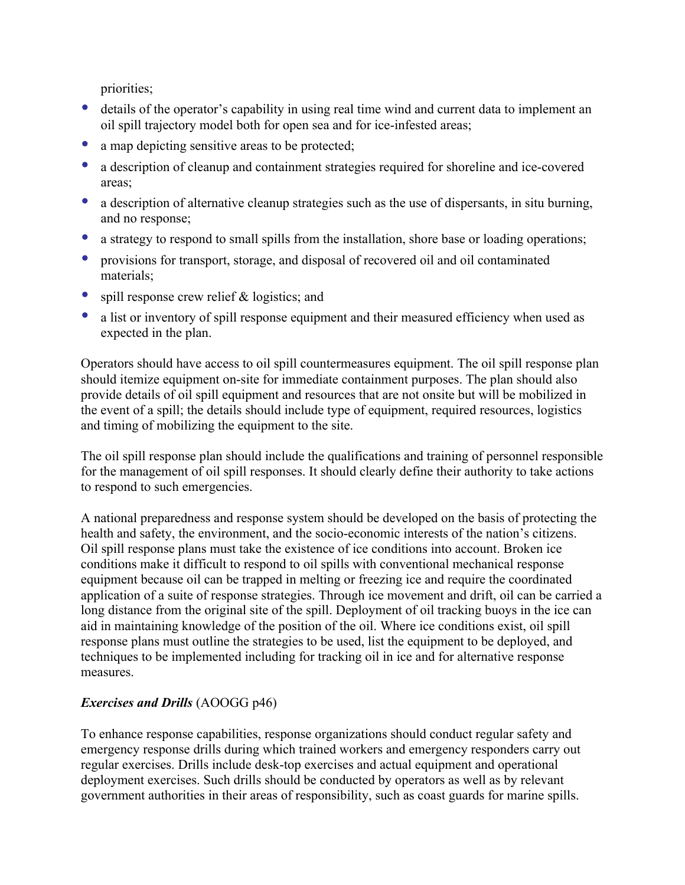priorities;

- details of the operator's capability in using real time wind and current data to implement an oil spill trajectory model both for open sea and for ice-infested areas;
- a map depicting sensitive areas to be protected;
- a description of cleanup and containment strategies required for shoreline and ice-covered areas;
- a description of alternative cleanup strategies such as the use of dispersants, in situ burning, and no response;
- a strategy to respond to small spills from the installation, shore base or loading operations;
- provisions for transport, storage, and disposal of recovered oil and oil contaminated materials;
- spill response crew relief & logistics; and
- a list or inventory of spill response equipment and their measured efficiency when used as expected in the plan.

Operators should have access to oil spill countermeasures equipment. The oil spill response plan should itemize equipment on-site for immediate containment purposes. The plan should also provide details of oil spill equipment and resources that are not onsite but will be mobilized in the event of a spill; the details should include type of equipment, required resources, logistics and timing of mobilizing the equipment to the site.

The oil spill response plan should include the qualifications and training of personnel responsible for the management of oil spill responses. It should clearly define their authority to take actions to respond to such emergencies.

A national preparedness and response system should be developed on the basis of protecting the health and safety, the environment, and the socio-economic interests of the nation's citizens. Oil spill response plans must take the existence of ice conditions into account. Broken ice conditions make it difficult to respond to oil spills with conventional mechanical response equipment because oil can be trapped in melting or freezing ice and require the coordinated application of a suite of response strategies. Through ice movement and drift, oil can be carried a long distance from the original site of the spill. Deployment of oil tracking buoys in the ice can aid in maintaining knowledge of the position of the oil. Where ice conditions exist, oil spill response plans must outline the strategies to be used, list the equipment to be deployed, and techniques to be implemented including for tracking oil in ice and for alternative response measures.

### *Exercises and Drills* (AOOGG p46)

To enhance response capabilities, response organizations should conduct regular safety and emergency response drills during which trained workers and emergency responders carry out regular exercises. Drills include desk-top exercises and actual equipment and operational deployment exercises. Such drills should be conducted by operators as well as by relevant government authorities in their areas of responsibility, such as coast guards for marine spills.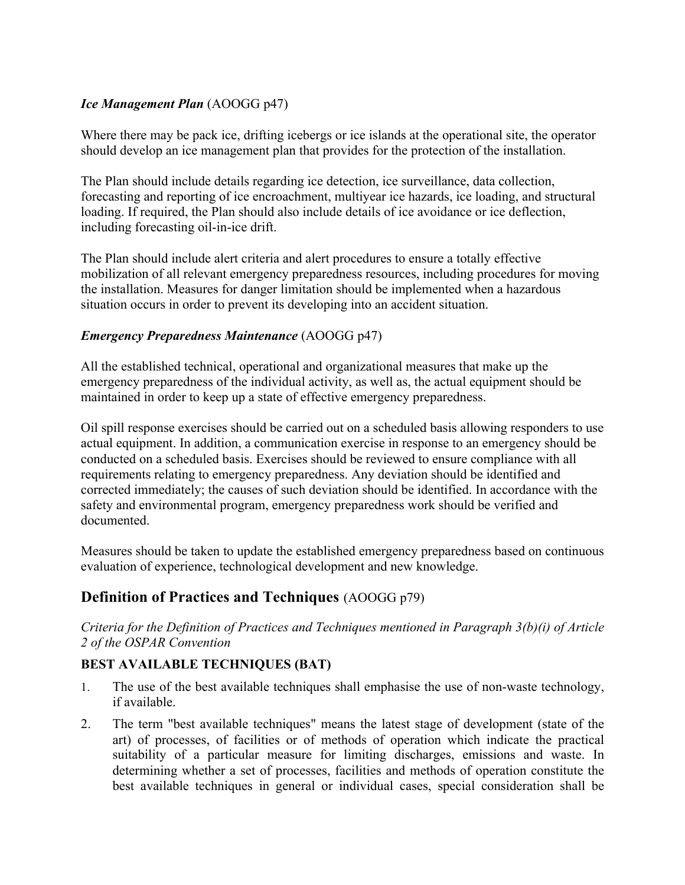### *Ice Management Plan* (AOOGG p47)

Where there may be pack ice, drifting icebergs or ice islands at the operational site, the operator should develop an ice management plan that provides for the protection of the installation.

The Plan should include details regarding ice detection, ice surveillance, data collection, forecasting and reporting of ice encroachment, multiyear ice hazards, ice loading, and structural loading. If required, the Plan should also include details of ice avoidance or ice deflection, including forecasting oil-in-ice drift.

The Plan should include alert criteria and alert procedures to ensure a totally effective mobilization of all relevant emergency preparedness resources, including procedures for moving the installation. Measures for danger limitation should be implemented when a hazardous situation occurs in order to prevent its developing into an accident situation.

### *Emergency Preparedness Maintenance* (AOOGG p47)

All the established technical, operational and organizational measures that make up the emergency preparedness of the individual activity, as well as, the actual equipment should be maintained in order to keep up a state of effective emergency preparedness.

Oil spill response exercises should be carried out on a scheduled basis allowing responders to use actual equipment. In addition, a communication exercise in response to an emergency should be conducted on a scheduled basis. Exercises should be reviewed to ensure compliance with all requirements relating to emergency preparedness. Any deviation should be identified and corrected immediately; the causes of such deviation should be identified. In accordance with the safety and environmental program, emergency preparedness work should be verified and documented.

Measures should be taken to update the established emergency preparedness based on continuous evaluation of experience, technological development and new knowledge.

## **Definition of Practices and Techniques** (AOOGG p79)

*Criteria for the Definition of Practices and Techniques mentioned in Paragraph 3(b)(i) of Article 2 of the OSPAR Convention*

## **BEST AVAILABLE TECHNIQUES (BAT)**

- 1. The use of the best available techniques shall emphasise the use of non-waste technology, if available.
- 2. The term "best available techniques" means the latest stage of development (state of the art) of processes, of facilities or of methods of operation which indicate the practical suitability of a particular measure for limiting discharges, emissions and waste. In determining whether a set of processes, facilities and methods of operation constitute the best available techniques in general or individual cases, special consideration shall be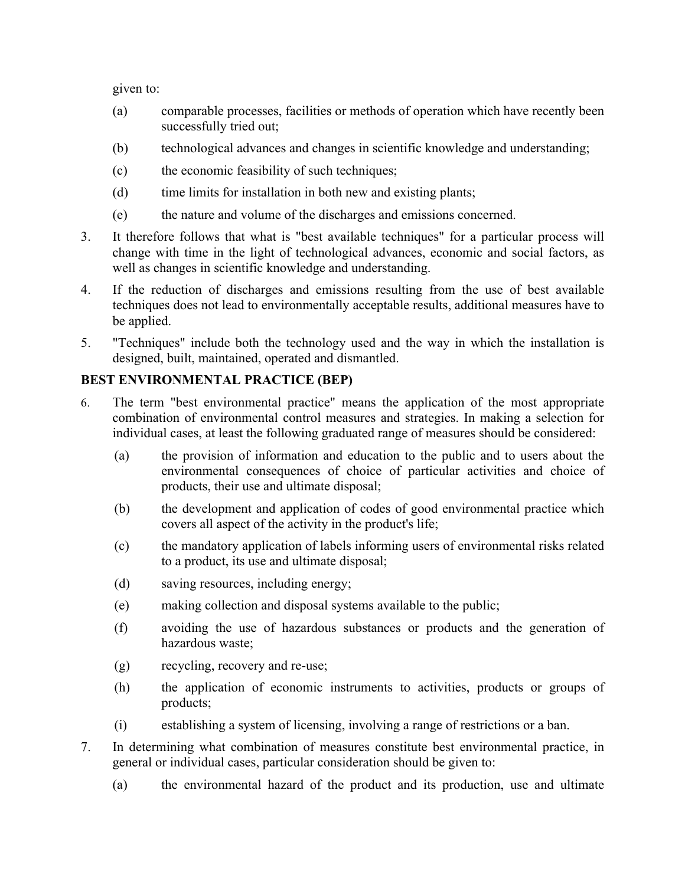given to:

- (a) comparable processes, facilities or methods of operation which have recently been successfully tried out;
- (b) technological advances and changes in scientific knowledge and understanding;
- (c) the economic feasibility of such techniques;
- (d) time limits for installation in both new and existing plants;
- (e) the nature and volume of the discharges and emissions concerned.
- 3. It therefore follows that what is "best available techniques" for a particular process will change with time in the light of technological advances, economic and social factors, as well as changes in scientific knowledge and understanding.
- 4. If the reduction of discharges and emissions resulting from the use of best available techniques does not lead to environmentally acceptable results, additional measures have to be applied.
- 5. "Techniques" include both the technology used and the way in which the installation is designed, built, maintained, operated and dismantled.

## **BEST ENVIRONMENTAL PRACTICE (BEP)**

- 6. The term "best environmental practice" means the application of the most appropriate combination of environmental control measures and strategies. In making a selection for individual cases, at least the following graduated range of measures should be considered:
	- (a) the provision of information and education to the public and to users about the environmental consequences of choice of particular activities and choice of products, their use and ultimate disposal;
	- (b) the development and application of codes of good environmental practice which covers all aspect of the activity in the product's life;
	- (c) the mandatory application of labels informing users of environmental risks related to a product, its use and ultimate disposal;
	- (d) saving resources, including energy;
	- (e) making collection and disposal systems available to the public;
	- (f) avoiding the use of hazardous substances or products and the generation of hazardous waste;
	- (g) recycling, recovery and re-use;
	- (h) the application of economic instruments to activities, products or groups of products;
	- (i) establishing a system of licensing, involving a range of restrictions or a ban.
- 7. In determining what combination of measures constitute best environmental practice, in general or individual cases, particular consideration should be given to:
	- (a) the environmental hazard of the product and its production, use and ultimate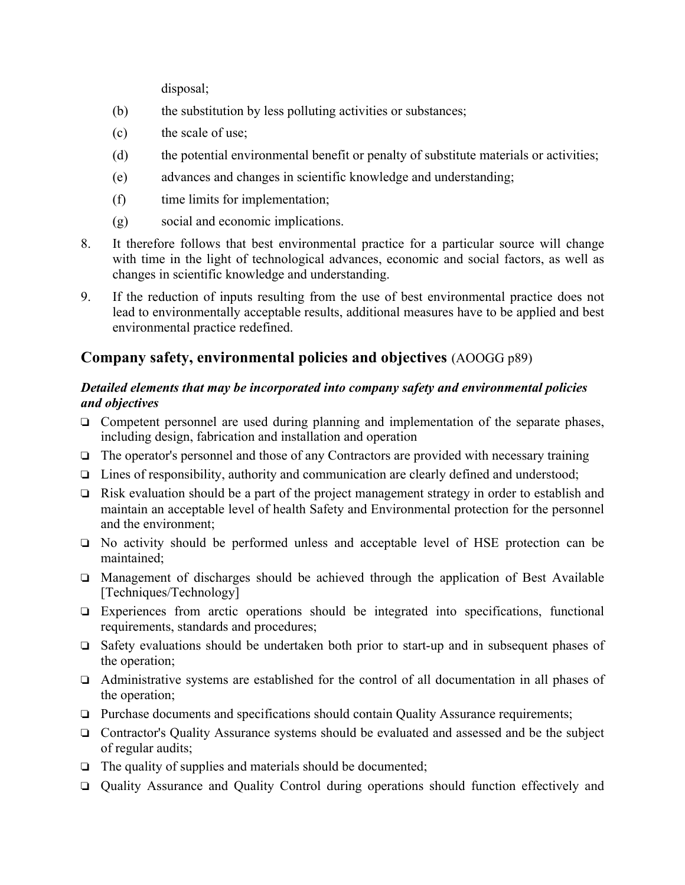disposal;

- (b) the substitution by less polluting activities or substances;
- (c) the scale of use;
- (d) the potential environmental benefit or penalty of substitute materials or activities;
- (e) advances and changes in scientific knowledge and understanding;
- (f) time limits for implementation;
- (g) social and economic implications.
- 8. It therefore follows that best environmental practice for a particular source will change with time in the light of technological advances, economic and social factors, as well as changes in scientific knowledge and understanding.
- 9. If the reduction of inputs resulting from the use of best environmental practice does not lead to environmentally acceptable results, additional measures have to be applied and best environmental practice redefined.

## **Company safety, environmental policies and objectives** (AOOGG p89)

### *Detailed elements that may be incorporated into company safety and environmental policies and objectives*

- $\Box$  Competent personnel are used during planning and implementation of the separate phases, including design, fabrication and installation and operation
- $\Box$  The operator's personnel and those of any Contractors are provided with necessary training
- $\Box$  Lines of responsibility, authority and communication are clearly defined and understood;
- $\Box$  Risk evaluation should be a part of the project management strategy in order to establish and maintain an acceptable level of health Safety and Environmental protection for the personnel and the environment;
- No activity should be performed unless and acceptable level of HSE protection can be maintained;
- Management of discharges should be achieved through the application of Best Available [Techniques/Technology]
- Experiences from arctic operations should be integrated into specifications, functional requirements, standards and procedures;
- $\Box$  Safety evaluations should be undertaken both prior to start-up and in subsequent phases of the operation;
- Administrative systems are established for the control of all documentation in all phases of the operation;
- $\Box$  Purchase documents and specifications should contain Quality Assurance requirements;
- Contractor's Quality Assurance systems should be evaluated and assessed and be the subject of regular audits;
- $\Box$  The quality of supplies and materials should be documented;
- Quality Assurance and Quality Control during operations should function effectively and